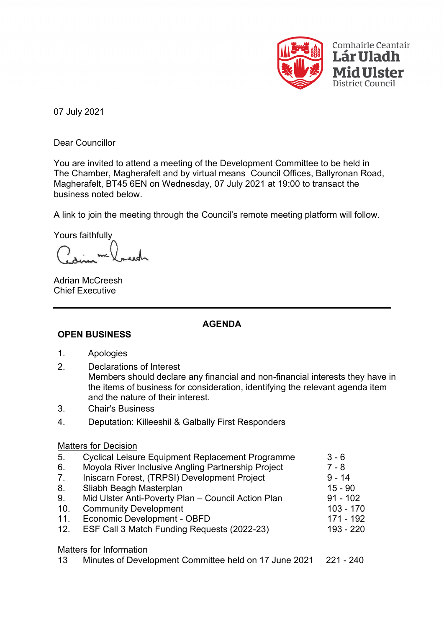

07 July 2021

Dear Councillor

You are invited to attend a meeting of the Development Committee to be held in The Chamber, Magherafelt and by virtual means Council Offices, Ballyronan Road, Magherafelt, BT45 6EN on Wednesday, 07 July 2021 at 19:00 to transact the business noted below.

A link to join the meeting through the Council's remote meeting platform will follow.

Yours faithfully

Adrian McCreesh Chief Executive

## **AGENDA**

## **OPEN BUSINESS**

- 1. Apologies
- 2. Declarations of Interest Members should declare any financial and non-financial interests they have in the items of business for consideration, identifying the relevant agenda item and the nature of their interest.
- 3. Chair's Business
- 4. Deputation: Killeeshil & Galbally First Responders

## Matters for Decision

| 5.  | <b>Cyclical Leisure Equipment Replacement Programme</b> | $3 - 6$     |
|-----|---------------------------------------------------------|-------------|
| 6.  | Moyola River Inclusive Angling Partnership Project      | $7 - 8$     |
| 7.  | Iniscarn Forest, (TRPSI) Development Project            | $9 - 14$    |
| 8.  | Sliabh Beagh Masterplan                                 | $15 - 90$   |
| 9.  | Mid Ulster Anti-Poverty Plan - Council Action Plan      | $91 - 102$  |
| 10. | <b>Community Development</b>                            | $103 - 170$ |
| 11. | Economic Development - OBFD                             | 171 - 192   |
| 12. | ESF Call 3 Match Funding Requests (2022-23)             | 193 - 220   |
|     | <b>Matters for Information</b>                          |             |

13 Minutes of Development Committee held on 17 June 2021 221 - 240